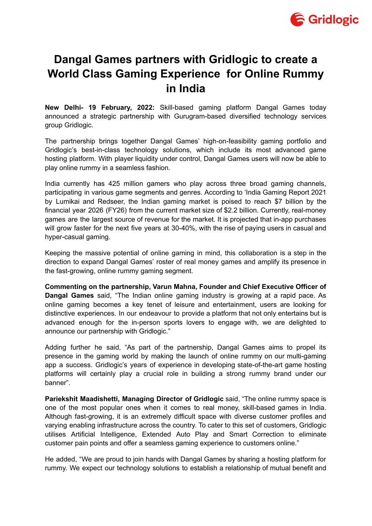

## **Dangal Games partners with Gridlogic to create a World Class Gaming Experience for Online Rummy in India**

**New Delhi- 19 February, 2022:** Skill-based gaming platform Dangal Games today announced a strategic partnership with Gurugram-based diversified technology services group Gridlogic.

The partnership brings together Dangal Games' high-on-feasibility gaming portfolio and Gridlogic's best-in-class technology solutions, which include its most advanced game hosting platform. With player liquidity under control, Dangal Games users will now be able to play online rummy in a seamless fashion.

India currently has 425 million gamers who play across three broad gaming channels, participating in various game segments and genres. According to 'India Gaming Report 2021 by Lumikai and Redseer, the Indian gaming market is poised to reach \$7 billion by the financial year 2026 (FY26) from the current market size of \$2.2 billion. Currently, real-money games are the largest source of revenue for the market. It is projected that in-app purchases will grow faster for the next five years at 30-40%, with the rise of paying users in casual and hyper-casual gaming.

Keeping the massive potential of online gaming in mind, this collaboration is a step in the direction to expand Dangal Games' roster of real money games and amplify its presence in the fast-growing, online rummy gaming segment.

**Commenting on the partnership, Varun Mahna, Founder and Chief Executive Officer of Dangal Games** said, "The Indian online gaming industry is growing at a rapid pace. As online gaming becomes a key tenet of leisure and entertainment, users are looking for distinctive experiences. In our endeavour to provide a platform that not only entertains but is advanced enough for the in-person sports lovers to engage with, we are delighted to announce our partnership with Gridlogic."

Adding further he said, "As part of the partnership, Dangal Games aims to propel its presence in the gaming world by making the launch of online rummy on our multi-gaming app a success. Gridlogic's years of experience in developing state-of-the-art game hosting platforms will certainly play a crucial role in building a strong rummy brand under our banner".

**Pariekshit Maadishetti, Managing Director of Gridlogic** said, "The online rummy space is one of the most popular ones when it comes to real money, skill-based games in India. Although fast-growing, it is an extremely difficult space with diverse customer profiles and varying enabling infrastructure across the country. To cater to this set of customers, Gridlogic utilises Artificial Intelligence, Extended Auto Play and Smart Correction to eliminate customer pain points and offer a seamless gaming experience to customers online."

He added, "We are proud to join hands with Dangal Games by sharing a hosting platform for rummy. We expect our technology solutions to establish a relationship of mutual benefit and